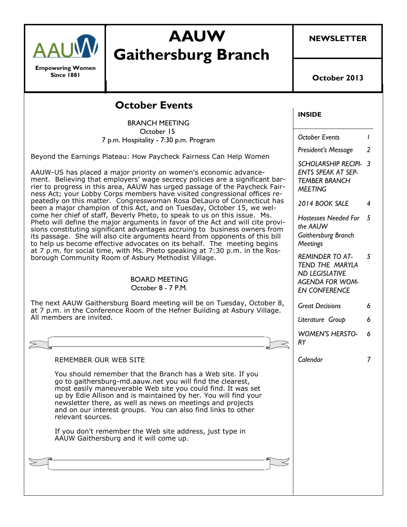

**Empowering Women Since 1881**

# **AAUW Gaithersburg Branch**

**NEWSLETTER**

**October 2013**

#### **INSIDE** *October Events 1 President's Message 2 SCHOLARSHIP RECIPI-3 ENTS SPEAK AT SEP-TEMBER BRANCH MEETING 2014 BOOK SALE 4 Hostesses Needed For 5 the AAUW Gaithersburg Branch Meetings REMINDER TO AT-TEND THE MARYLA ND LEGISLATIVE AGENDA FOR WOM-EN CONFERENCE 5 Great Decisions 6 Literature Group 6 WOMEN'S HERSTO-RY 6 Calendar 7* **October Events** BRANCH MEETING October 15 7 p.m. Hospitality - 7:30 p.m. Program Beyond the Earnings Plateau: How Paycheck Fairness Can Help Women AAUW-US has placed a major priority on women's economic advancement. Believing that employers' wage secrecy policies are a significant barrier to progress in this area, AAUW has urged passage of the Paycheck Fairness Act; your Lobby Corps members have visited congressional offices repeatedly on this matter. Congresswoman Rosa DeLauro of Connecticut has been a major champion of this Act, and on Tuesday, October 15, we welcome her chief of staff, Beverly Pheto, to speak to us on this issue. Ms. Pheto will define the major arguments in favor of the Act and will cite provisions constituting significant advantages accruing to business owners from its passage. She will also cite arguments heard from opponents of this bill to help us become effective advocates on its behalf. The meeting begins at 7 p.m. for social time, with Ms. Pheto speaking at 7:30 p.m. in the Rosborough Community Room of Asbury Methodist Village. BOARD MEETING October 8 - 7 P.M. The next AAUW Gaithersburg Board meeting will be on Tuesday, October 8, at 7 p.m. in the Conference Room of the Hefner Building at Asbury Village. All members are invited. REMEMBER OUR WEB SITE You should remember that the Branch has a Web site. If you go to gaithersburg-md.aauw.net you will find the clearest, most easily maneuverable Web site you could find. It was set up by Edie Allison and is maintained by her. You will find your newsletter there, as well as news on meetings and projects and on our interest groups. You can also find links to other relevant sources. If you don't remember the Web site address, just type in AAUW Gaithersburg and it will come up.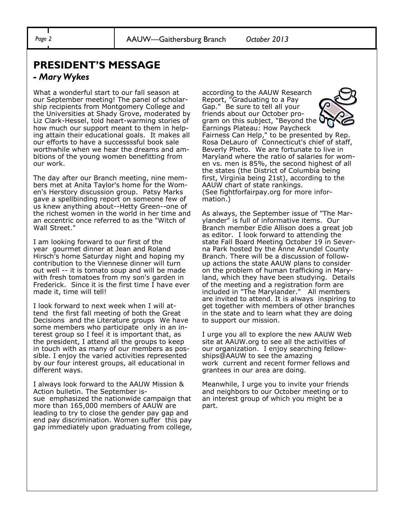### **PRESIDENT'S MESSAGE**

#### *- Mary Wykes*

What a wonderful start to our fall season at our September meeting! The panel of scholarship recipients from Montgomery College and the Universities at Shady Grove, moderated by Liz Clark-Hessel, told heart-warming stories of how much our support meant to them in helping attain their educational goals. It makes all our efforts to have a successssful book sale worthwhile when we hear the dreams and ambitions of the young women benefitting from our work.

The day after our Branch meeting, nine members met at Anita Taylor's home for the Women's Herstory discussion group. Patsy Marks gave a spellbinding report on someone few of us knew anything about--Hetty Green--one of the richest women in the world in her time and an eccentric once referred to as the "Witch of Wall Street."

I am looking forward to our first of the year gourmet dinner at Jean and Roland Hirsch's home Saturday night and hoping my contribution to the Viennese dinner will turn out well -- it is tomato soup and will be made with fresh tomatoes from my son's garden in Frederick. Since it is the first time I have ever made it, time will tell!

I look forward to next week when I will attend the first fall meeting of both the Great Decisions and the Literature groups We have some members who participate only in an interest group so I feel it is important that, as the president, I attend all the groups to keep in touch with as many of our members as possible. I enjoy the varied activities represented by our four interest groups, all educational in different ways.

I always look forward to the AAUW Mission & Action bulletin. The September issue emphasized the nationwide campaign that more than 165,000 members of AAUW are leading to try to close the gender pay gap and end pay discrimination. Women suffer this pay gap immediately upon graduating from college,

according to the AAUW Research Report, "Graduating to a Pay Gap." Be sure to tell all your friends about our October program on this subject, "Beyond the



Earnings Plateau: How Paycheck Fairness Can Help," to be presented by Rep. Rosa DeLauro of Connecticut's chief of staff, Beverly Pheto. We are fortunate to live in Maryland where the ratio of salaries for women vs. men is 85%, the second highest of all the states (the District of Columbia being first, Virginia being 21st), according to the AAUW chart of state rankings. (See fightforfairpay.org for more information.)

As always, the September issue of "The Marylander" is full of informative items. Our Branch member Edie Allison does a great job as editor. I look forward to attending the state Fall Board Meeting October 19 in Severna Park hosted by the Anne Arundel County Branch. There will be a discussion of followup actions the state AAUW plans to consider on the problem of human trafficking in Maryland, which they have been studying. Details of the meeting and a registration form are included in "The Marylander." All members are invited to attend. It is always inspiring to get together with members of other branches in the state and to learn what they are doing to support our mission.

I urge you all to explore the new AAUW Web site at AAUW.org to see all the activities of our organization. I enjoy searching fellowships@AAUW to see the amazing work current and recent former fellows and grantees in our area are doing.

Meanwhile, I urge you to invite your friends and neighbors to our October meeting or to an interest group of which you might be a part.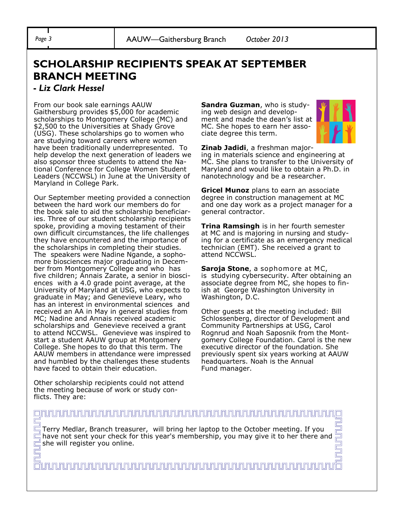## **SCHOLARSHIP RECIPIENTS SPEAK AT SEPTEMBER BRANCH MEETING**

#### **-** *Liz Clark Hessel*

From our book sale earnings AAUW Gaithersburg provides \$5,000 for academic scholarships to Montgomery College (MC) and \$2,500 to the Universities at Shady Grove (USG). These scholarships go to women who are studying toward careers where women have been traditionally underrepresented. To help develop the next generation of leaders we also sponsor three students to attend the National Conference for College Women Student Leaders (NCCWSL) in June at the University of Maryland in College Park.

Our September meeting provided a connection between the hard work our members do for the book sale to aid the scholarship beneficiaries. Three of our student scholarship recipients spoke, providing a moving testament of their own difficult circumstances, the life challenges they have encountered and the importance of the scholarships in completing their studies. The speakers were Nadine Ngande, a sophomore biosciences major graduating in December from Montgomery College and who has five children; Annais Zarate, a senior in biosciences with a 4.0 grade point average, at the University of Maryland at USG, who expects to graduate in May; and Genevieve Leary, who has an interest in environmental sciences and received an AA in May in general studies from MC; Nadine and Annais received academic scholarships and Genevieve received a grant to attend NCCWSL. Genevieve was inspired to start a student AAUW group at Montgomery College. She hopes to do that this term. The AAUW members in attendance were impressed and humbled by the challenges these students have faced to obtain their education.

Other scholarship recipients could not attend the meeting because of work or study conflicts. They are:

**Sandra Guzman**, who is studying web design and development and made the dean's list at MC. She hopes to earn her associate degree this term.



**Zinab Jadidi**, a freshman majoring in materials science and engineering at MC. She plans to transfer to the University of Maryland and would like to obtain a Ph.D. in nanotechnology and be a researcher.

**Gricel Munoz** plans to earn an associate degree in construction management at MC and one day work as a project manager for a general contractor.

**Trina Ramsingh** is in her fourth semester at MC and is majoring in nursing and studying for a certificate as an emergency medical technician (EMT). She received a grant to attend NCCWSL.

**Saroja Stone**, a sophomore at MC, is studying cybersecurity. After obtaining an associate degree from MC, she hopes to finish at George Washington University in Washington, D.C.

Other guests at the meeting included: Bill Schlossenberg, director of Development and Community Partnerships at USG, Carol Rognrud and Noah Saposnik from the Montgomery College Foundation. Carol is the new executive director of the foundation. She previously spent six years working at AAUW headquarters. Noah is the Annual Fund manager.

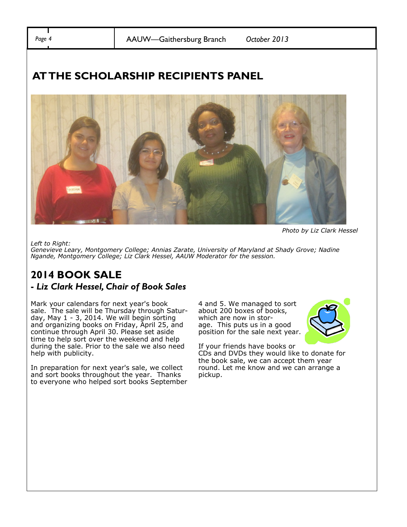*Page 4* AAUW—Gaithersburg Branch *October 2013*

## **AT THE SCHOLARSHIP RECIPIENTS PANEL**



*Left to Right:*

*Photo by Liz Clark Hessel*

*Genevieve Leary, Montgomery College; Annias Zarate, University of Maryland at Shady Grove; Nadine Ngande, Montgomery College; Liz Clark Hessel, AAUW Moderator for the session.* 

# **2014 BOOK SALE**

### **-** *Liz Clark Hessel, Chair of Book Sales*

Mark your calendars for next year's book sale. The sale will be Thursday through Saturday, May 1 - 3, 2014. We will begin sorting and organizing books on Friday, April 25, and continue through April 30. Please set aside time to help sort over the weekend and help during the sale. Prior to the sale we also need help with publicity.

In preparation for next year's sale, we collect and sort books throughout the year. Thanks to everyone who helped sort books September 4 and 5. We managed to sort about 200 boxes of books, which are now in storage. This puts us in a good position for the sale next year.



If your friends have books or CDs and DVDs they would like to donate for the book sale, we can accept them year round. Let me know and we can arrange a pickup.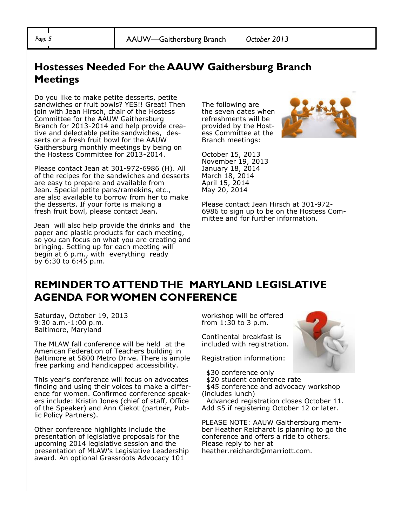*Page 5* AAUW—Gaithersburg Branch *October 2013*

### **Hostesses Needed For the AAUW Gaithersburg Branch Meetings**

Do you like to make petite desserts, petite sandwiches or fruit bowls? YES!! Great! Then join with Jean Hirsch, chair of the Hostess Committee for the AAUW Gaithersburg Branch for 2013-2014 and help provide creative and delectable petite sandwiches, desserts or a fresh fruit bowl for the AAUW Gaithersburg monthly meetings by being on the Hostess Committee for 2013-2014.

Please contact Jean at 301-972-6986 (H). All of the recipes for the sandwiches and desserts are easy to prepare and available from Jean. Special petite pans/ramekins, etc., are also available to borrow from her to make the desserts. If your forte is making a fresh fruit bowl, please contact Jean.

Jean will also help provide the drinks and the paper and plastic products for each meeting, so you can focus on what you are creating and bringing. Setting up for each meeting will begin at 6 p.m., with everything ready by 6:30 to 6:45 p.m.

The following are the seven dates when refreshments will be provided by the Hostess Committee at the Branch meetings:



October 15, 2013 November 19, 2013 January 18, 2014 March 18, 2014 April 15, 2014 May 20, 2014

Please contact Jean Hirsch at 301-972- 6986 to sign up to be on the Hostess Committee and for further information.

### **REMINDER TO ATTENDTHE MARYLAND LEGISLATIVE AGENDA FOR WOMEN CONFERENCE**

Saturday, October 19, 2013 9:30 a.m.-1:00 p.m. Baltimore, Maryland

The MLAW fall conference will be held at the American Federation of Teachers building in Baltimore at 5800 Metro Drive. There is ample free parking and handicapped accessibility.

This year's conference will focus on advocates finding and using their voices to make a difference for women. Confirmed conference speakers include: Kristin Jones (chief of staff, Office of the Speaker) and Ann Ciekot (partner, Public Policy Partners).

Other conference highlights include the presentation of legislative proposals for the upcoming 2014 legislative session and the presentation of MLAW's Legislative Leadership award. An optional Grassroots Advocacy 101

workshop will be offered from 1:30 to 3 p.m.

Continental breakfast is included with registration.

Registration information:

\$30 conference only

\$20 student conference rate

\$45 conference and advocacy workshop (includes lunch)

Advanced registration closes October 11. Add \$5 if registering October 12 or later.

PLEASE NOTE: AAUW Gaithersburg member Heather Reichardt is planning to go the conference and offers a ride to others. Please reply to her at heather.reichardt@marriott.com.

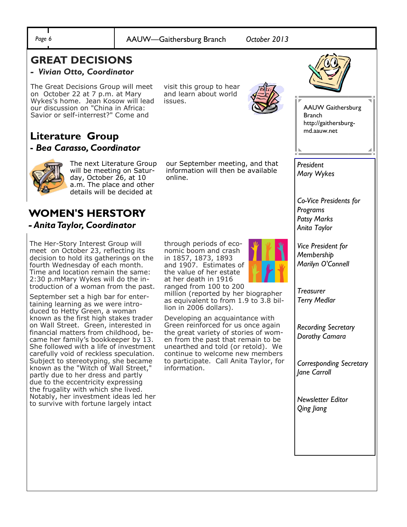#### *Page 6* AAUW—Gaithersburg Branch *October 2013*

### **GREAT DECISIONS**

#### *- Vivian Otto, Coordinator*

The Great Decisions Group will meet on October 22 at 7 p.m. at Mary Wykes's home. Jean Kosow will lead our discussion on "China in Africa: Savior or self-interrest?" Come and

visit this group to hear and learn about world issues.



AAUW Gaithersburg Branch http://gaithersburgmd.aauw.net

### **Literature Group -** *Bea Carasso, Coordinator*



The next Literature Group will be meeting on Saturday, October 26, at 10 a.m. The place and other details will be decided at

information will then be available online.

our September meeting, and that

#### **WOMEN'S HERSTORY** *- Anita Taylor, Coordinator*

The Her-Story Interest Group will meet on October 23, reflecting its decision to hold its gatherings on the fourth Wednesday of each month. Time and location remain the same: 2:30 p.mMary Wykes will do the introduction of a woman from the past.

September set a high bar for entertaining learning as we were introduced to Hetty Green, a woman known as the first high stakes trader on Wall Street. Green, interested in financial matters from childhood, became her family's bookkeeper by 13. She followed with a life of investment carefully void of reckless speculation. Subject to stereotyping, she became known as the "Witch of Wall Street," partly due to her dress and partly due to the eccentricity expressing the frugality with which she lived. Notably, her investment ideas led her to survive with fortune largely intact

through periods of economic boom and crash in 1857, 1873, 1893 and 1907. Estimates of the value of her estate at her death in 1916 ranged from 100 to 200

million (reported by her biographer as equivalent to from 1.9 to 3.8 billion in 2006 dollars).

Developing an acquaintance with Green reinforced for us once again the great variety of stories of women from the past that remain to be unearthed and told (or retold). We continue to welcome new members to participate. Call Anita Taylor, for information.



*Anita Taylor Vice President for Membership*

*Marilyn O'Connell*

*Co-Vice Presidents for* 

*President Mary Wykes*

*Programs Patsy Marks* 

*Treasurer Terry Medlar* 

*Recording Secretary Dorothy Camara*

*Corresponding Secretary Jane Carroll* 

*Newsletter Editor Qing Jiang*